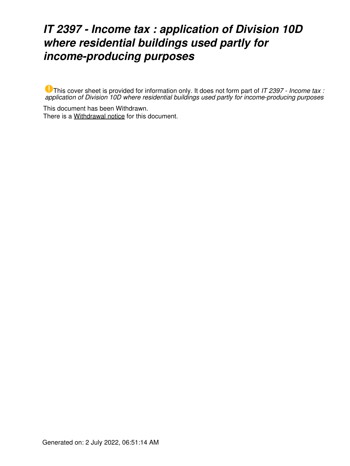## *IT 2397 - Income tax : application of Division 10D where residential buildings used partly for income-producing purposes*

This cover sheet is provided for information only. It does not form part of *IT 2397 - Income tax : application of Division 10D where residential buildings used partly for income-producing purposes*

This document has been Withdrawn. There is a [Withdrawal notice](https://www.ato.gov.au/law/view/document?LocID=%22ITR%2FIT2397W%2FNAT%2FATO%2F00001%22&PiT=99991231235958) for this document.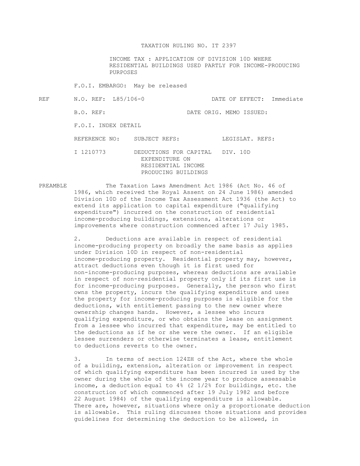## TAXATION RULING NO. IT 2397

 INCOME TAX : APPLICATION OF DIVISION 10D WHERE RESIDENTIAL BUILDINGS USED PARTLY FOR INCOME-PRODUCING PURPOSES

F.O.I. EMBARGO: May be released

REF N.O. REF: L85/106-0 DATE OF EFFECT: Immediate B.O. REF: DATE ORIG. MEMO ISSUED: F.O.I. INDEX DETAIL REFERENCE NO: SUBJECT REFS: LEGISLAT. REFS: I 1210773 DEDUCTIONS FOR CAPITAL DIV. 10D EXPENDITURE ON RESIDENTIAL INCOME PRODUCING BUILDINGS

PREAMBLE The Taxation Laws Amendment Act 1986 (Act No. 46 of 1986, which received the Royal Assent on 24 June 1986) amended Division 10D of the Income Tax Assessment Act 1936 (the Act) to extend its application to capital expenditure ("qualifying expenditure") incurred on the construction of residential income-producing buildings, extensions, alterations or improvements where construction commenced after 17 July 1985.

> 2. Deductions are available in respect of residential income-producing property on broadly the same basis as applies under Division 10D in respect of non-residential income-producing property. Residential property may, however, attract deductions even though it is first used for non-income-producing purposes, whereas deductions are available in respect of non-residential property only if its first use is for income-producing purposes. Generally, the person who first owns the property, incurs the qualifying expenditure and uses the property for income-producing purposes is eligible for the deductions, with entitlement passing to the new owner where ownership changes hands. However, a lessee who incurs qualifying expenditure, or who obtains the lease on assignment from a lessee who incurred that expenditure, may be entitled to the deductions as if he or she were the owner. If an eligible lessee surrenders or otherwise terminates a lease, entitlement to deductions reverts to the owner.

 3. In terms of section 124ZH of the Act, where the whole of a building, extension, alteration or improvement in respect of which qualifying expenditure has been incurred is used by the owner during the whole of the income year to produce assessable income, a deduction equal to 4% (2 1/2% for buildings, etc. the construction of which commenced after 19 July 1982 and before 22 August 1984) of the qualifying expenditure is allowable. There are, however, situations where only a proportionate deduction is allowable. This ruling discusses those situations and provides guidelines for determining the deduction to be allowed, in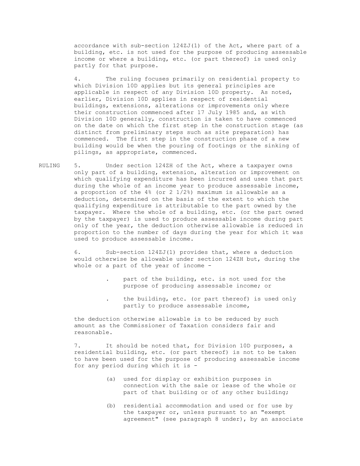accordance with sub-section 124ZJ(1) of the Act, where part of a building, etc. is not used for the purpose of producing assessable income or where a building, etc. (or part thereof) is used only partly for that purpose.

 4. The ruling focuses primarily on residential property to which Division 10D applies but its general principles are applicable in respect of any Division 10D property. As noted, earlier, Division 10D applies in respect of residential buildings, extensions, alterations or improvements only where their construction commenced after 17 July 1985 and, as with Division 10D generally, construction is taken to have commenced on the date on which the first step in the construction stage (as distinct from preliminary steps such as site preparation) has commenced. The first step in the construction phase of a new building would be when the pouring of footings or the sinking of pilings, as appropriate, commenced.

RULING 5. Under section 124ZH of the Act, where a taxpayer owns only part of a building, extension, alteration or improvement on which qualifying expenditure has been incurred and uses that part during the whole of an income year to produce assessable income, a proportion of the 4% (or 2 1/2%) maximum is allowable as a deduction, determined on the basis of the extent to which the qualifying expenditure is attributable to the part owned by the taxpayer. Where the whole of a building, etc. (or the part owned by the taxpayer) is used to produce assessable income during part only of the year, the deduction otherwise allowable is reduced in proportion to the number of days during the year for which it was used to produce assessable income.

> 6. Sub-section 124ZJ(1) provides that, where a deduction would otherwise be allowable under section 124ZH but, during the whole or a part of the year of income -

- part of the building, etc. is not used for the purpose of producing assessable income; or
- . the building, etc. (or part thereof) is used only partly to produce assessable income,

 the deduction otherwise allowable is to be reduced by such amount as the Commissioner of Taxation considers fair and reasonable.

 7. It should be noted that, for Division 10D purposes, a residential building, etc. (or part thereof) is not to be taken to have been used for the purpose of producing assessable income for any period during which it is -

- (a) used for display or exhibition purposes in connection with the sale or lease of the whole or part of that building or of any other building;
- (b) residential accommodation and used or for use by the taxpayer or, unless pursuant to an "exempt agreement" (see paragraph 8 under), by an associate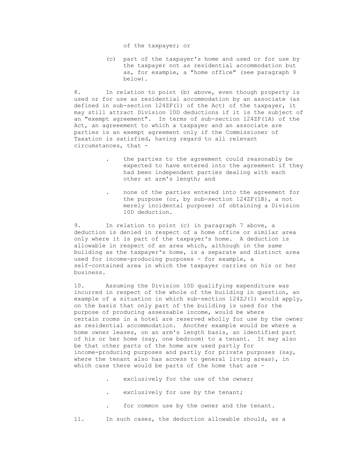(c) part of the taxpayer's home and used or for use by the taxpayer not as residential accommodation but as, for example, a "home office" (see paragraph 9 below).

 8. In relation to point (b) above, even though property is used or for use as residential accommodation by an associate (as defined in sub-section 124ZF(1) of the Act) of the taxpayer, it may still attract Division 10D deductions if it is the subject of an "exempt agreement". In terms of sub-section 124ZF(1A) of the Act, an agreeement to which a taxpayer and an associate are parties is an exempt agreement only if the Commissioner of Taxation is satisfied, having regard to all relevant circumstances, that -

- the parties to the agreement could reasonably be expected to have entered into the agreement if they had been independent parties dealing with each other at arm's length; and
- . none of the parties entered into the agreement for the purpose (or, by sub-section 124ZF(1B), a not merely incidental purpose) of obtaining a Division 10D deduction.

 9. In relation to point (c) in paragraph 7 above, a deduction is denied in respect of a home office or similar area only where it is part of the taxpayer's home. A deduction is allowable in respect of an area which, although in the same building as the taxpayer's home, is a separate and distinct area used for income-producing purposes - for example, a self-contained area in which the taxpayer carries on his or her business.

 10. Assuming the Division 10D qualifying expenditure was incurred in respect of the whole of the building in question, an example of a situation in which sub-section 124ZJ(1) would apply, on the basis that only part of the building is used for the purpose of producing assessable income, would be where certain rooms in a hotel are reserved wholly for use by the owner as residential accommodation. Another example would be where a home owner leases, on an arm's length basis, an identified part of his or her home (say, one bedroom) to a tenant. It may also be that other parts of the home are used partly for income-producing purposes and partly for private purposes (say, where the tenant also has access to general living areas), in which case there would be parts of the home that are -

- exclusively for the use of the owner;
- exclusively for use by the tenant;
- for common use by the owner and the tenant.

11. In such cases, the deduction allowable should, as a